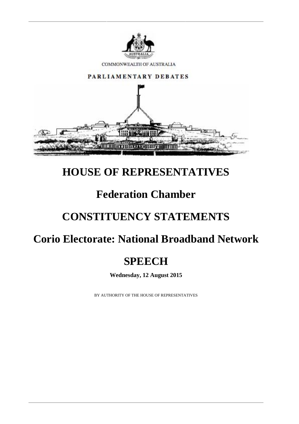

# **HOUSE OF REPRESENTATIVES**

## **Federation Chamber**

# **CONSTITUENCY STATEMENTS**

## **Corio Electorate: National Broadband Network**

## **SPEECH**

**Wednesday, 12 August 2015**

BY AUTHORITY OF THE HOUSE OF REPRESENTATIVES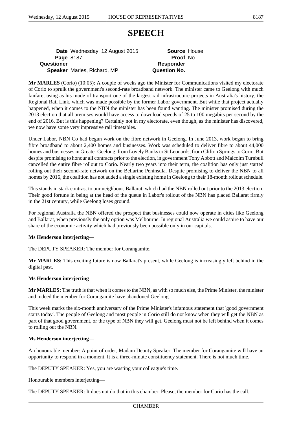### **SPEECH**

**Date** Wednesday, 12 August 2015 **Source** House **Page** 8187 **Proof** No **Questioner Responder Speaker** Marles, Richard, MP **Question No.**

**Mr MARLES** (Corio) (10:05): A couple of weeks ago the Minister for Communications visited my electorate of Corio to spruik the government's second-rate broadband network. The minister came to Geelong with much fanfare, using as his mode of transport one of the largest rail infrastructure projects in Australia's history, the Regional Rail Link, which was made possible by the former Labor government. But while that project actually happened, when it comes to the NBN the minister has been found wanting. The minister promised during the 2013 election that all premises would have access to download speeds of 25 to 100 megabits per second by the end of 2016. But is this happening? Certainly not in my electorate, even though, as the minister has discovered, we now have some very impressive rail timetables.

Under Labor, NBN Co had begun work on the fibre network in Geelong. In June 2013, work began to bring fibre broadband to about 2,400 homes and businesses. Work was scheduled to deliver fibre to about 44,000 homes and businesses in Greater Geelong, from Lovely Banks to St Leonards, from Clifton Springs to Corio. But despite promising to honour all contracts prior to the election, in government Tony Abbott and Malcolm Turnbull cancelled the entire fibre rollout to Corio. Nearly two years into their term, the coalition has only just started rolling out their second-rate network on the Bellarine Peninsula. Despite promising to deliver the NBN to all homes by 2016, the coalition has not added a single existing home in Geelong to their 18-month rollout schedule.

This stands in stark contrast to our neighbour, Ballarat, which had the NBN rolled out prior to the 2013 election. Their good fortune in being at the head of the queue in Labor's rollout of the NBN has placed Ballarat firmly in the 21st century, while Geelong loses ground.

For regional Australia the NBN offered the prospect that businesses could now operate in cities like Geelong and Ballarat, when previously the only option was Melbourne. In regional Australia we could aspire to have our share of the economic activity which had previously been possible only in our capitals.

#### **Ms Henderson interjecting**—

The DEPUTY SPEAKER: The member for Corangamite.

**Mr MARLES:** This exciting future is now Ballarat's present, while Geelong is increasingly left behind in the digital past.

#### **Ms Henderson interjecting**—

**Mr MARLES:** The truth is that when it comes to the NBN, as with so much else, the Prime Minister, the minister and indeed the member for Corangamite have abandoned Geelong.

This week marks the six-month anniversary of the Prime Minister's infamous statement that 'good government starts today'. The people of Geelong and most people in Corio still do not know when they will get the NBN as part of that good government, or the type of NBN they will get. Geelong must not be left behind when it comes to rolling out the NBN.

#### **Ms Henderson interjecting**—

An honourable member: A point of order, Madam Deputy Speaker. The member for Corangamite will have an opportunity to respond in a moment. It is a three-minute constituency statement. There is not much time.

The DEPUTY SPEAKER: Yes, you are wasting your colleague's time.

Honourable members interjecting—

The DEPUTY SPEAKER: It does not do that in this chamber. Please, the member for Corio has the call.